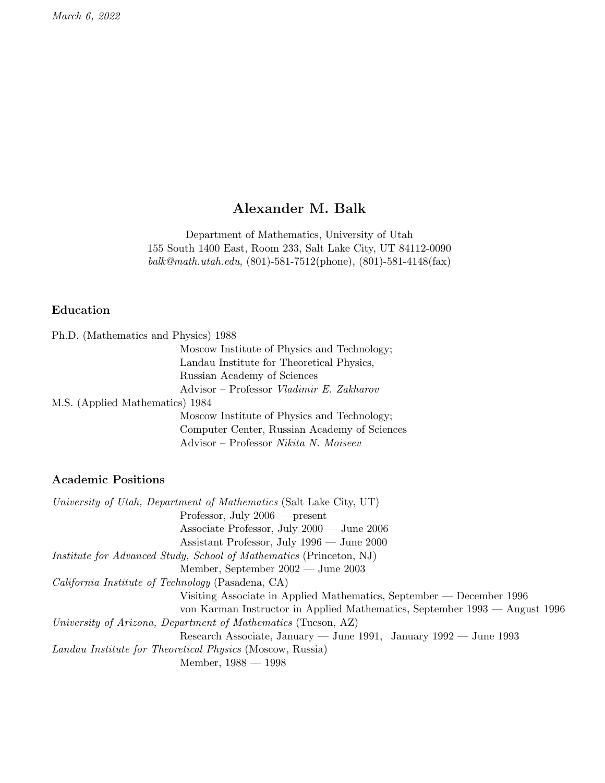March 6, 2022

# Alexander M. Balk

Department of Mathematics, University of Utah 155 South 1400 East, Room 233, Salt Lake City, UT 84112-0090 balk@math.utah.edu, (801)-581-7512(phone), (801)-581-4148(fax)

## Education

| Ph.D. (Mathematics and Physics) 1988 |                                                                          |
|--------------------------------------|--------------------------------------------------------------------------|
|                                      | Moscow Institute of Physics and Technology;                              |
|                                      | Landau Institute for Theoretical Physics,                                |
|                                      | Russian Academy of Sciences                                              |
|                                      | $\text{Advisor} - \text{Professor} \text{ Vladimir } E. \text{Zakharov}$ |
| M.S. (Applied Mathematics) 1984      |                                                                          |
|                                      | Moscow Institute of Physics and Technology;                              |
|                                      | Computer Center, Russian Academy of Sciences                             |
|                                      | Advisor – Professor Nikita N. Moiseev                                    |

#### Academic Positions

University of Utah, Department of Mathematics (Salt Lake City, UT) Professor, July 2006 — present Associate Professor, July 2000 — June 2006 Assistant Professor, July 1996 — June 2000 Institute for Advanced Study, School of Mathematics (Princeton, NJ) Member, September 2002 — June 2003 California Institute of Technology (Pasadena, CA) Visiting Associate in Applied Mathematics, September — December 1996 von Karman Instructor in Applied Mathematics, September 1993 — August 1996 University of Arizona, Department of Mathematics (Tucson, AZ) Research Associate, January — June 1991, January 1992 — June 1993 Landau Institute for Theoretical Physics (Moscow, Russia) Member, 1988 — 1998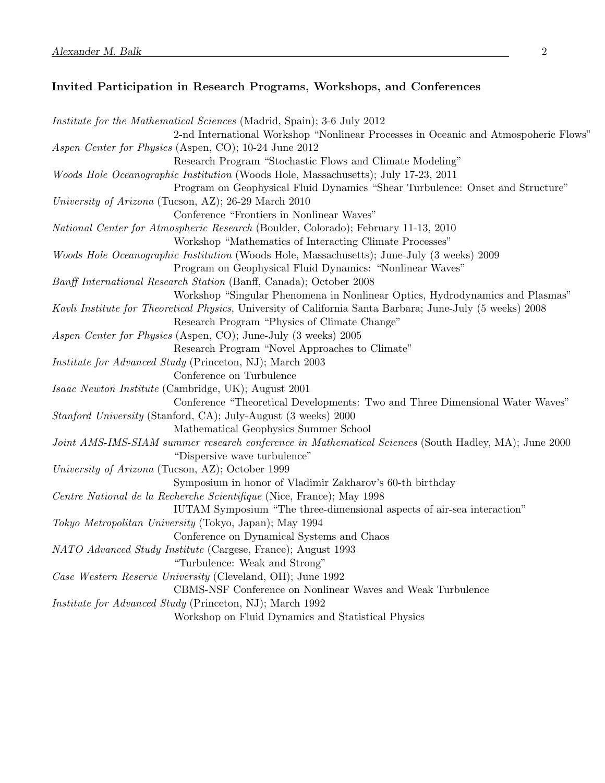## Invited Participation in Research Programs, Workshops, and Conferences

| <i>Institute for the Mathematical Sciences</i> (Madrid, Spain); 3-6 July 2012                             |
|-----------------------------------------------------------------------------------------------------------|
| 2-nd International Workshop "Nonlinear Processes in Oceanic and Atmospoheric Flows"                       |
| Aspen Center for Physics (Aspen, CO); 10-24 June 2012                                                     |
| Research Program "Stochastic Flows and Climate Modeling"                                                  |
| Woods Hole Oceanographic Institution (Woods Hole, Massachusetts); July 17-23, 2011                        |
| Program on Geophysical Fluid Dynamics "Shear Turbulence: Onset and Structure"                             |
| University of Arizona (Tucson, AZ); 26-29 March 2010                                                      |
| Conference "Frontiers in Nonlinear Waves"                                                                 |
| <i>National Center for Atmospheric Research</i> (Boulder, Colorado); February 11-13, 2010                 |
| Workshop "Mathematics of Interacting Climate Processes"                                                   |
| <i>Woods Hole Oceanographic Institution</i> (Woods Hole, Massachusetts); June-July (3 weeks) 2009         |
| Program on Geophysical Fluid Dynamics: "Nonlinear Waves"                                                  |
| Banff International Research Station (Banff, Canada); October 2008                                        |
| Workshop "Singular Phenomena in Nonlinear Optics, Hydrodynamics and Plasmas"                              |
| Kavli Institute for Theoretical Physics, University of California Santa Barbara; June-July (5 weeks) 2008 |
| Research Program "Physics of Climate Change"                                                              |
| Aspen Center for Physics (Aspen, CO); June-July (3 weeks) 2005                                            |
| Research Program "Novel Approaches to Climate"                                                            |
| Institute for Advanced Study (Princeton, NJ); March 2003                                                  |
| Conference on Turbulence                                                                                  |
| Isaac Newton Institute (Cambridge, UK); August 2001                                                       |
| Conference "Theoretical Developments: Two and Three Dimensional Water Waves"                              |
| <i>Stanford University</i> (Stanford, CA); July-August (3 weeks) 2000                                     |
| Mathematical Geophysics Summer School                                                                     |
| Joint AMS-IMS-SIAM summer research conference in Mathematical Sciences (South Hadley, MA); June 2000      |
| "Dispersive wave turbulence"                                                                              |
| University of Arizona (Tucson, AZ); October 1999                                                          |
| Symposium in honor of Vladimir Zakharov's 60-th birthday                                                  |
| Centre National de la Recherche Scientifique (Nice, France); May 1998                                     |
| IUTAM Symposium "The three-dimensional aspects of air-sea interaction"                                    |
| Tokyo Metropolitan University (Tokyo, Japan); May 1994                                                    |
| Conference on Dynamical Systems and Chaos                                                                 |
| NATO Advanced Study Institute (Cargese, France); August 1993                                              |
| "Turbulence: Weak and Strong"                                                                             |
| Case Western Reserve University (Cleveland, OH); June 1992                                                |
| CBMS-NSF Conference on Nonlinear Waves and Weak Turbulence                                                |
| <i>Institute for Advanced Study</i> (Princeton, NJ); March 1992                                           |
| Workshop on Fluid Dynamics and Statistical Physics                                                        |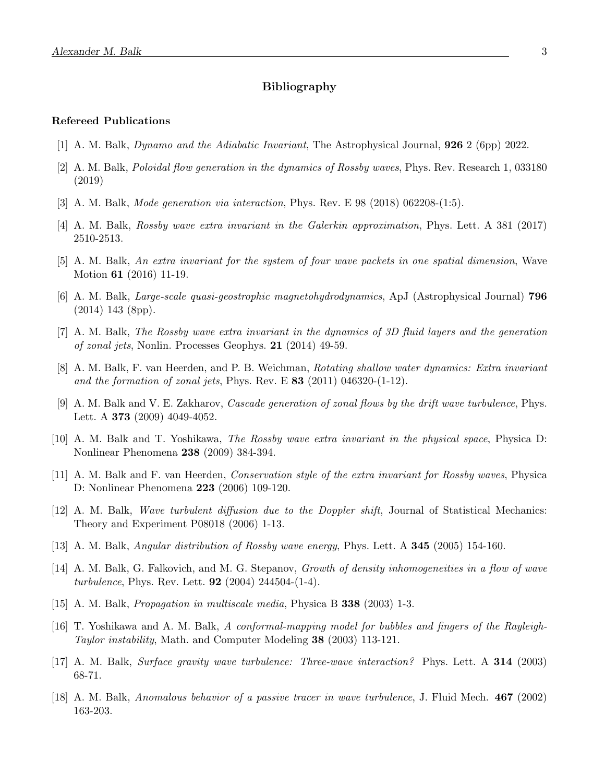## Bibliography

#### Refereed Publications

- [1] A. M. Balk, Dynamo and the Adiabatic Invariant, The Astrophysical Journal, 926 2 (6pp) 2022.
- [2] A. M. Balk, Poloidal flow generation in the dynamics of Rossby waves, Phys. Rev. Research 1, 033180 (2019)
- [3] A. M. Balk, Mode generation via interaction, Phys. Rev. E 98 (2018) 062208-(1:5).
- [4] A. M. Balk, Rossby wave extra invariant in the Galerkin approximation, Phys. Lett. A 381 (2017) 2510-2513.
- [5] A. M. Balk, An extra invariant for the system of four wave packets in one spatial dimension, Wave Motion 61 (2016) 11-19.
- [6] A. M. Balk, Large-scale quasi-geostrophic magnetohydrodynamics, ApJ (Astrophysical Journal) 796 (2014) 143 (8pp).
- [7] A. M. Balk, The Rossby wave extra invariant in the dynamics of 3D fluid layers and the generation of zonal jets, Nonlin. Processes Geophys. 21 (2014) 49-59.
- [8] A. M. Balk, F. van Heerden, and P. B. Weichman, Rotating shallow water dynamics: Extra invariant and the formation of zonal jets, Phys. Rev. E  $83$  (2011) 046320-(1-12).
- [9] A. M. Balk and V. E. Zakharov, Cascade generation of zonal flows by the drift wave turbulence, Phys. Lett. A 373 (2009) 4049-4052.
- [10] A. M. Balk and T. Yoshikawa, The Rossby wave extra invariant in the physical space, Physica D: Nonlinear Phenomena 238 (2009) 384-394.
- [11] A. M. Balk and F. van Heerden, Conservation style of the extra invariant for Rossby waves, Physica D: Nonlinear Phenomena 223 (2006) 109-120.
- [12] A. M. Balk, Wave turbulent diffusion due to the Doppler shift, Journal of Statistical Mechanics: Theory and Experiment P08018 (2006) 1-13.
- [13] A. M. Balk, Angular distribution of Rossby wave energy, Phys. Lett. A 345 (2005) 154-160.
- [14] A. M. Balk, G. Falkovich, and M. G. Stepanov, Growth of density inhomogeneities in a flow of wave turbulence, Phys. Rev. Lett.  $92$  (2004) 244504-(1-4).
- [15] A. M. Balk, Propagation in multiscale media, Physica B 338 (2003) 1-3.
- [16] T. Yoshikawa and A. M. Balk, A conformal-mapping model for bubbles and fingers of the Rayleigh-Taylor instability, Math. and Computer Modeling 38 (2003) 113-121.
- [17] A. M. Balk, Surface gravity wave turbulence: Three-wave interaction? Phys. Lett. A 314 (2003) 68-71.
- [18] A. M. Balk, Anomalous behavior of a passive tracer in wave turbulence, J. Fluid Mech. 467 (2002) 163-203.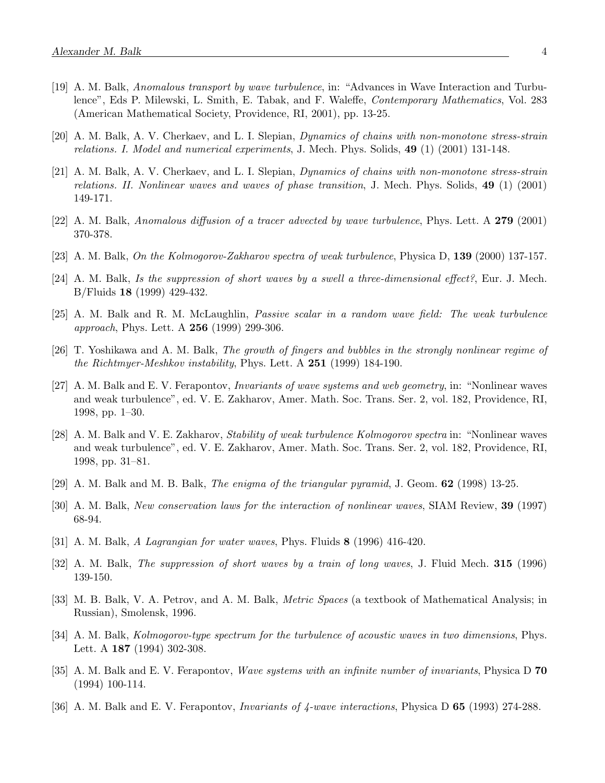- [19] A. M. Balk, Anomalous transport by wave turbulence, in: "Advances in Wave Interaction and Turbulence", Eds P. Milewski, L. Smith, E. Tabak, and F. Waleffe, Contemporary Mathematics, Vol. 283 (American Mathematical Society, Providence, RI, 2001), pp. 13-25.
- [20] A. M. Balk, A. V. Cherkaev, and L. I. Slepian, Dynamics of chains with non-monotone stress-strain relations. I. Model and numerical experiments, J. Mech. Phys. Solids, 49 (1) (2001) 131-148.
- [21] A. M. Balk, A. V. Cherkaev, and L. I. Slepian, Dynamics of chains with non-monotone stress-strain relations. II. Nonlinear waves and waves of phase transition, J. Mech. Phys. Solids, 49 (1) (2001) 149-171.
- [22] A. M. Balk, Anomalous diffusion of a tracer advected by wave turbulence, Phys. Lett. A 279 (2001) 370-378.
- [23] A. M. Balk, On the Kolmogorov-Zakharov spectra of weak turbulence, Physica D, 139 (2000) 137-157.
- [24] A. M. Balk, Is the suppression of short waves by a swell a three-dimensional effect?, Eur. J. Mech. B/Fluids 18 (1999) 429-432.
- [25] A. M. Balk and R. M. McLaughlin, Passive scalar in a random wave field: The weak turbulence approach, Phys. Lett. A **256** (1999) 299-306.
- [26] T. Yoshikawa and A. M. Balk, The growth of fingers and bubbles in the strongly nonlinear regime of the Richtmyer-Meshkov instability, Phys. Lett. A  $251$  (1999) 184-190.
- [27] A. M. Balk and E. V. Ferapontov, Invariants of wave systems and web geometry, in: "Nonlinear waves and weak turbulence", ed. V. E. Zakharov, Amer. Math. Soc. Trans. Ser. 2, vol. 182, Providence, RI, 1998, pp. 1–30.
- [28] A. M. Balk and V. E. Zakharov, Stability of weak turbulence Kolmogorov spectra in: "Nonlinear waves and weak turbulence", ed. V. E. Zakharov, Amer. Math. Soc. Trans. Ser. 2, vol. 182, Providence, RI, 1998, pp. 31–81.
- [29] A. M. Balk and M. B. Balk, The enigma of the triangular pyramid, J. Geom. 62 (1998) 13-25.
- [30] A. M. Balk, New conservation laws for the interaction of nonlinear waves, SIAM Review, 39 (1997) 68-94.
- [31] A. M. Balk, A Lagrangian for water waves, Phys. Fluids  $8$  (1996) 416-420.
- [32] A. M. Balk, The suppression of short waves by a train of long waves, J. Fluid Mech. 315 (1996) 139-150.
- [33] M. B. Balk, V. A. Petrov, and A. M. Balk, Metric Spaces (a textbook of Mathematical Analysis; in Russian), Smolensk, 1996.
- [34] A. M. Balk, Kolmogorov-type spectrum for the turbulence of acoustic waves in two dimensions, Phys. Lett. A 187 (1994) 302-308.
- [35] A. M. Balk and E. V. Ferapontov, Wave systems with an infinite number of invariants, Physica D 70 (1994) 100-114.
- [36] A. M. Balk and E. V. Ferapontov, Invariants of 4-wave interactions, Physica D 65 (1993) 274-288.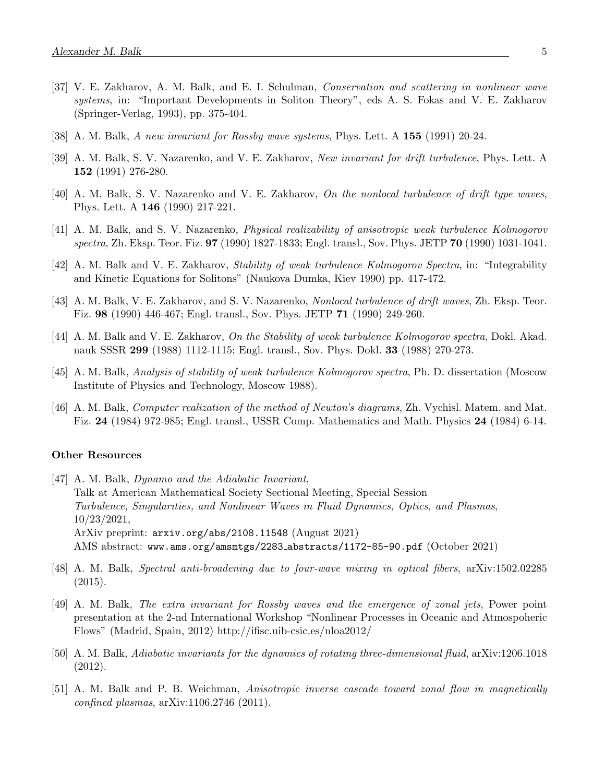- [37] V. E. Zakharov, A. M. Balk, and E. I. Schulman, Conservation and scattering in nonlinear wave systems, in: "Important Developments in Soliton Theory", eds A. S. Fokas and V. E. Zakharov (Springer-Verlag, 1993), pp. 375-404.
- [38] A. M. Balk, A new invariant for Rossby wave systems, Phys. Lett. A 155 (1991) 20-24.
- [39] A. M. Balk, S. V. Nazarenko, and V. E. Zakharov, New invariant for drift turbulence, Phys. Lett. A 152 (1991) 276-280.
- [40] A. M. Balk, S. V. Nazarenko and V. E. Zakharov, On the nonlocal turbulence of drift type waves, Phys. Lett. A 146 (1990) 217-221.
- [41] A. M. Balk, and S. V. Nazarenko, Physical realizability of anisotropic weak turbulence Kolmogorov spectra, Zh. Eksp. Teor. Fiz. **97** (1990) 1827-1833; Engl. transl., Sov. Phys. JETP **70** (1990) 1031-1041.
- [42] A. M. Balk and V. E. Zakharov, Stability of weak turbulence Kolmogorov Spectra, in: "Integrability and Kinetic Equations for Solitons" (Naukova Dumka, Kiev 1990) pp. 417-472.
- [43] A. M. Balk, V. E. Zakharov, and S. V. Nazarenko, Nonlocal turbulence of drift waves, Zh. Eksp. Teor. Fiz. 98 (1990) 446-467; Engl. transl., Sov. Phys. JETP 71 (1990) 249-260.
- [44] A. M. Balk and V. E. Zakharov, On the Stability of weak turbulence Kolmogorov spectra, Dokl. Akad. nauk SSSR 299 (1988) 1112-1115; Engl. transl., Sov. Phys. Dokl. 33 (1988) 270-273.
- [45] A. M. Balk, Analysis of stability of weak turbulence Kolmogorov spectra, Ph. D. dissertation (Moscow Institute of Physics and Technology, Moscow 1988).
- [46] A. M. Balk, Computer realization of the method of Newton's diagrams, Zh. Vychisl. Matem. and Mat. Fiz. 24 (1984) 972-985; Engl. transl., USSR Comp. Mathematics and Math. Physics 24 (1984) 6-14.

#### Other Resources

- [47] A. M. Balk, Dynamo and the Adiabatic Invariant, Talk at American Mathematical Society Sectional Meeting, Special Session Turbulence, Singularities, and Nonlinear Waves in Fluid Dynamics, Optics, and Plasmas, 10/23/2021, ArXiv preprint: arxiv.org/abs/2108.11548 (August 2021) AMS abstract: www.ams.org/amsmtgs/2283 abstracts/1172-85-90.pdf (October 2021)
- [48] A. M. Balk, Spectral anti-broadening due to four-wave mixing in optical fibers, arXiv:1502.02285 (2015).
- [49] A. M. Balk, The extra invariant for Rossby waves and the emergence of zonal jets, Power point presentation at the 2-nd International Workshop "Nonlinear Processes in Oceanic and Atmospoheric Flows" (Madrid, Spain, 2012) http://ifisc.uib-csic.es/nloa2012/
- [50] A. M. Balk, Adiabatic invariants for the dynamics of rotating three-dimensional fluid, arXiv:1206.1018 (2012).
- [51] A. M. Balk and P. B. Weichman, Anisotropic inverse cascade toward zonal flow in magnetically confined plasmas, arXiv:1106.2746 (2011).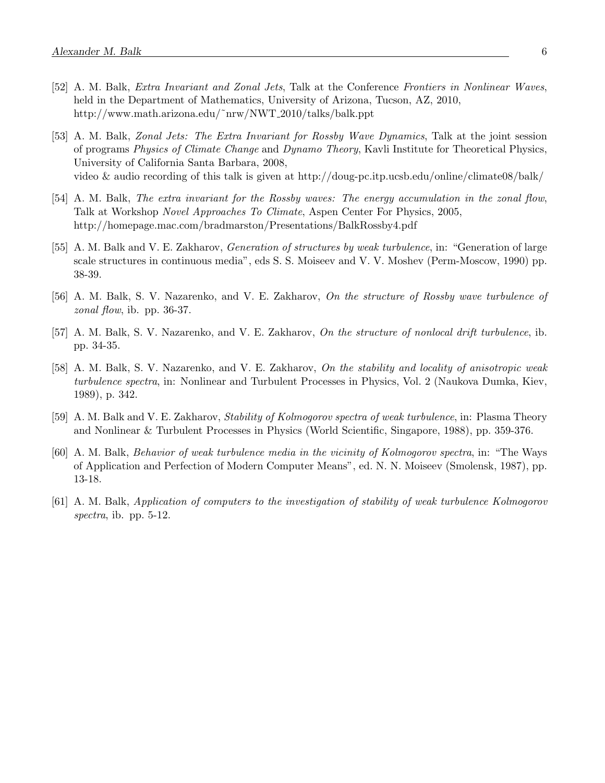- [52] A. M. Balk, Extra Invariant and Zonal Jets, Talk at the Conference Frontiers in Nonlinear Waves, held in the Department of Mathematics, University of Arizona, Tucson, AZ, 2010, http://www.math.arizona.edu/˜nrw/NWT 2010/talks/balk.ppt
- [53] A. M. Balk, Zonal Jets: The Extra Invariant for Rossby Wave Dynamics, Talk at the joint session of programs Physics of Climate Change and Dynamo Theory, Kavli Institute for Theoretical Physics, University of California Santa Barbara, 2008, video & audio recording of this talk is given at http://doug-pc.itp.ucsb.edu/online/climate08/balk/
- [54] A. M. Balk, The extra invariant for the Rossby waves: The energy accumulation in the zonal flow, Talk at Workshop Novel Approaches To Climate, Aspen Center For Physics, 2005, http://homepage.mac.com/bradmarston/Presentations/BalkRossby4.pdf
- [55] A. M. Balk and V. E. Zakharov, Generation of structures by weak turbulence, in: "Generation of large scale structures in continuous media", eds S. S. Moiseev and V. V. Moshev (Perm-Moscow, 1990) pp. 38-39.
- [56] A. M. Balk, S. V. Nazarenko, and V. E. Zakharov, On the structure of Rossby wave turbulence of zonal flow, ib. pp.  $36-37$ .
- [57] A. M. Balk, S. V. Nazarenko, and V. E. Zakharov, On the structure of nonlocal drift turbulence, ib. pp. 34-35.
- [58] A. M. Balk, S. V. Nazarenko, and V. E. Zakharov, On the stability and locality of anisotropic weak turbulence spectra, in: Nonlinear and Turbulent Processes in Physics, Vol. 2 (Naukova Dumka, Kiev, 1989), p. 342.
- [59] A. M. Balk and V. E. Zakharov, Stability of Kolmogorov spectra of weak turbulence, in: Plasma Theory and Nonlinear & Turbulent Processes in Physics (World Scientific, Singapore, 1988), pp. 359-376.
- [60] A. M. Balk, Behavior of weak turbulence media in the vicinity of Kolmogorov spectra, in: "The Ways of Application and Perfection of Modern Computer Means", ed. N. N. Moiseev (Smolensk, 1987), pp. 13-18.
- [61] A. M. Balk, Application of computers to the investigation of stability of weak turbulence Kolmogorov spectra, ib. pp.  $5-12$ .